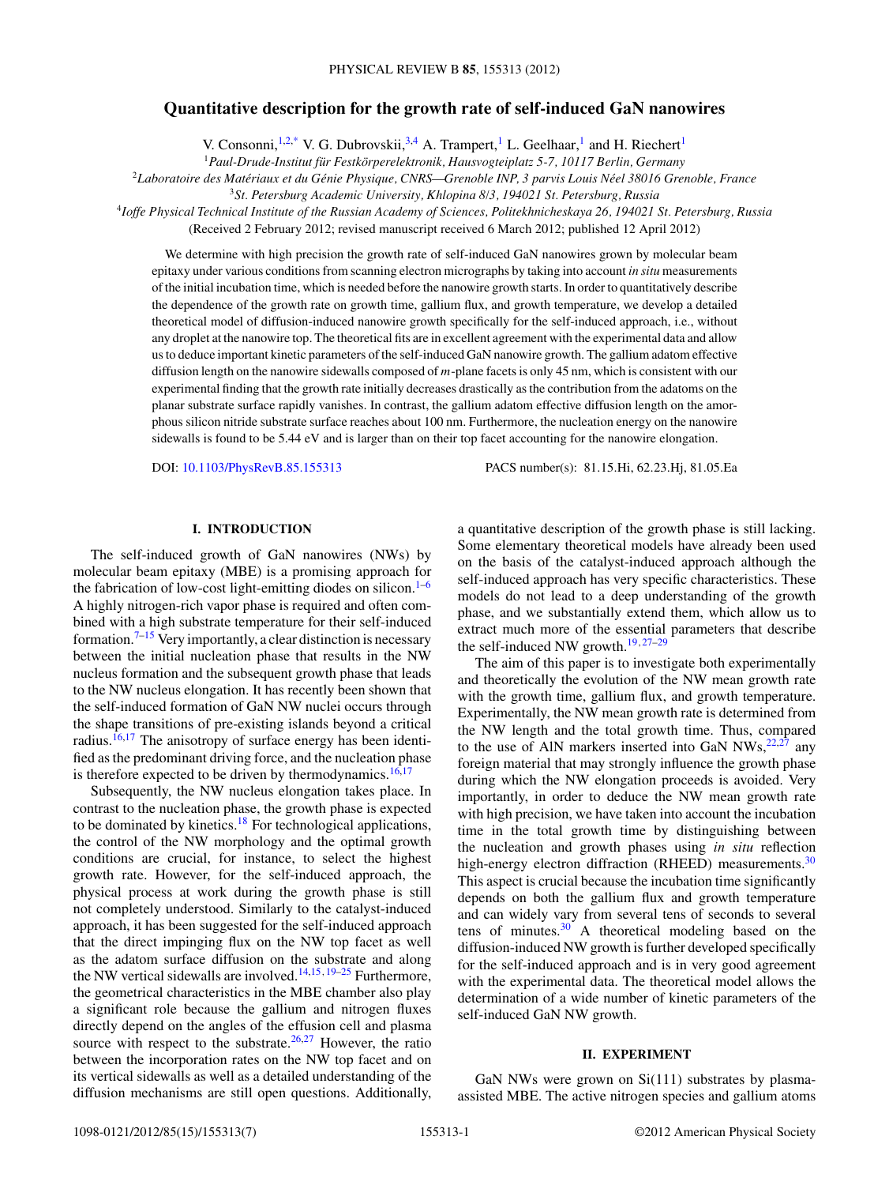# **Quantitative description for the growth rate of self-induced GaN nanowires**

V. Consonni,<sup>1,2[,\\*](#page-6-0)</sup> V. G. Dubrovskii,<sup>3,4</sup> A. Trampert,<sup>1</sup> L. Geelhaar,<sup>1</sup> and H. Riechert<sup>1</sup>

<sup>1</sup> Paul-Drude-Institut für Festkörperelektronik, Hausvogteiplatz 5-7, 10117 Berlin, Germany

<sup>2</sup>*Laboratoire des Materiaux et du G ´ enie Physique, CNRS—Grenoble INP, 3 parvis Louis N ´ eel 38016 Grenoble, France ´*

<sup>3</sup>*St. Petersburg Academic University, Khlopina 8/3, 194021 St. Petersburg, Russia*

<sup>4</sup>*Ioffe Physical Technical Institute of the Russian Academy of Sciences, Politekhnicheskaya 26, 194021 St. Petersburg, Russia*

(Received 2 February 2012; revised manuscript received 6 March 2012; published 12 April 2012)

We determine with high precision the growth rate of self-induced GaN nanowires grown by molecular beam epitaxy under various conditions from scanning electron micrographs by taking into account *in situ* measurements of the initial incubation time, which is needed before the nanowire growth starts. In order to quantitatively describe the dependence of the growth rate on growth time, gallium flux, and growth temperature, we develop a detailed theoretical model of diffusion-induced nanowire growth specifically for the self-induced approach, i.e., without any droplet at the nanowire top. The theoretical fits are in excellent agreement with the experimental data and allow us to deduce important kinetic parameters of the self-induced GaN nanowire growth. The gallium adatom effective diffusion length on the nanowire sidewalls composed of *m*-plane facets is only 45 nm, which is consistent with our experimental finding that the growth rate initially decreases drastically as the contribution from the adatoms on the planar substrate surface rapidly vanishes. In contrast, the gallium adatom effective diffusion length on the amorphous silicon nitride substrate surface reaches about 100 nm. Furthermore, the nucleation energy on the nanowire sidewalls is found to be 5.44 eV and is larger than on their top facet accounting for the nanowire elongation.

DOI: [10.1103/PhysRevB.85.155313](http://dx.doi.org/10.1103/PhysRevB.85.155313) PACS number(s): 81*.*15*.*Hi, 62*.*23*.*Hj, 81*.*05*.*Ea

## **I. INTRODUCTION**

The self-induced growth of GaN nanowires (NWs) by molecular beam epitaxy (MBE) is a promising approach for the fabrication of low-cost light-emitting diodes on silicon. $1-6$ A highly nitrogen-rich vapor phase is required and often combined with a high substrate temperature for their self-induced formation.<sup>[7–15](#page-6-0)</sup> Very importantly, a clear distinction is necessary between the initial nucleation phase that results in the NW nucleus formation and the subsequent growth phase that leads to the NW nucleus elongation. It has recently been shown that the self-induced formation of GaN NW nuclei occurs through the shape transitions of pre-existing islands beyond a critical radius. $16,17$  The anisotropy of surface energy has been identified as the predominant driving force, and the nucleation phase is therefore expected to be driven by thermodynamics.<sup>[16,17](#page-6-0)</sup>

Subsequently, the NW nucleus elongation takes place. In contrast to the nucleation phase, the growth phase is expected to be dominated by kinetics.<sup>[18](#page-6-0)</sup> For technological applications, the control of the NW morphology and the optimal growth conditions are crucial, for instance, to select the highest growth rate. However, for the self-induced approach, the physical process at work during the growth phase is still not completely understood. Similarly to the catalyst-induced approach, it has been suggested for the self-induced approach that the direct impinging flux on the NW top facet as well as the adatom surface diffusion on the substrate and along the NW vertical sidewalls are involved.[14,15](#page-6-0)*,*[19–25](#page-6-0) Furthermore, the geometrical characteristics in the MBE chamber also play a significant role because the gallium and nitrogen fluxes directly depend on the angles of the effusion cell and plasma source with respect to the substrate.<sup>[26,27](#page-6-0)</sup> However, the ratio between the incorporation rates on the NW top facet and on its vertical sidewalls as well as a detailed understanding of the diffusion mechanisms are still open questions. Additionally, a quantitative description of the growth phase is still lacking. Some elementary theoretical models have already been used on the basis of the catalyst-induced approach although the self-induced approach has very specific characteristics. These models do not lead to a deep understanding of the growth phase, and we substantially extend them, which allow us to extract much more of the essential parameters that describe the self-induced NW growth[.19](#page-6-0)*,*[27–29](#page-6-0)

The aim of this paper is to investigate both experimentally and theoretically the evolution of the NW mean growth rate with the growth time, gallium flux, and growth temperature. Experimentally, the NW mean growth rate is determined from the NW length and the total growth time. Thus, compared to the use of AlN markers inserted into GaN  $NWs$ ,  $^{22,27}$  $^{22,27}$  $^{22,27}$  any foreign material that may strongly influence the growth phase during which the NW elongation proceeds is avoided. Very importantly, in order to deduce the NW mean growth rate with high precision, we have taken into account the incubation time in the total growth time by distinguishing between the nucleation and growth phases using *in situ* reflection high-energy electron diffraction (RHEED) measurements.<sup>30</sup> This aspect is crucial because the incubation time significantly depends on both the gallium flux and growth temperature and can widely vary from several tens of seconds to several tens of minutes. $30$  A theoretical modeling based on the diffusion-induced NW growth is further developed specifically for the self-induced approach and is in very good agreement with the experimental data. The theoretical model allows the determination of a wide number of kinetic parameters of the self-induced GaN NW growth.

## **II. EXPERIMENT**

GaN NWs were grown on Si(111) substrates by plasmaassisted MBE. The active nitrogen species and gallium atoms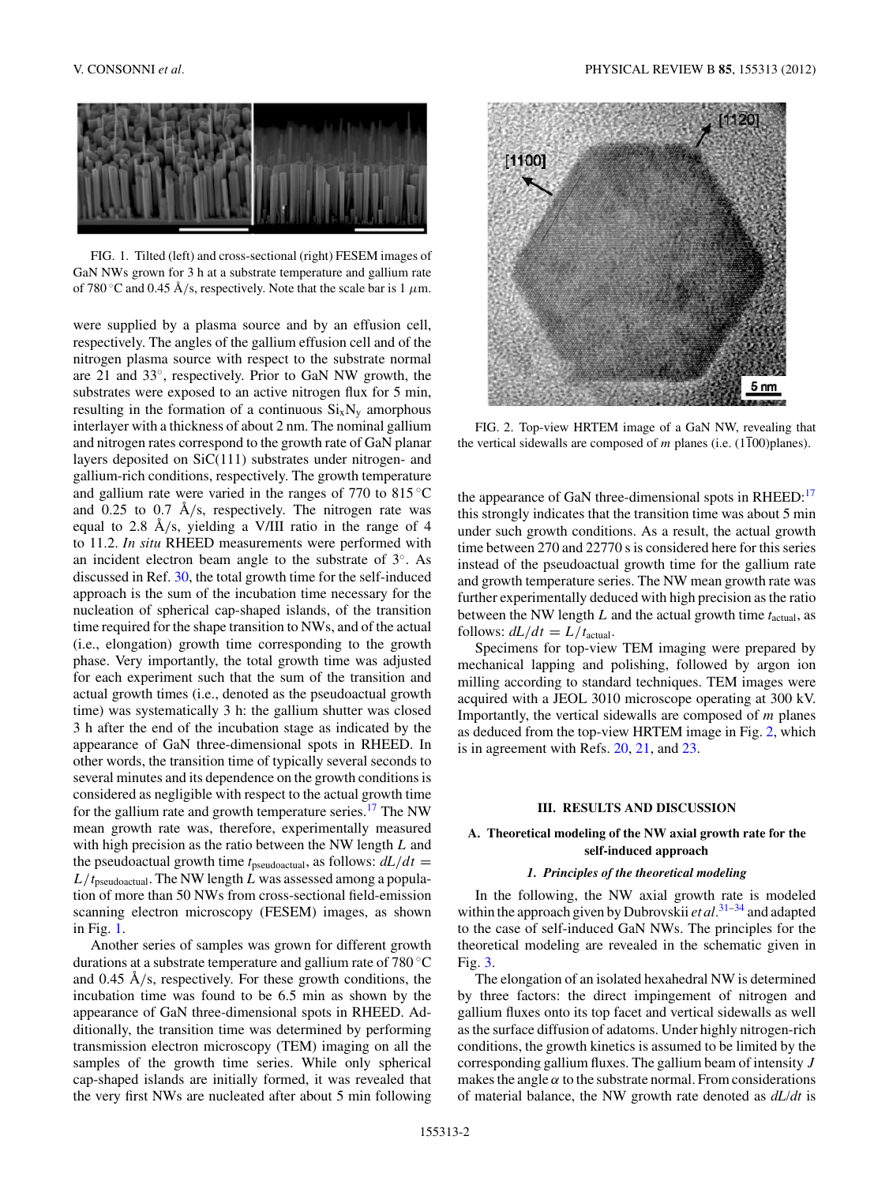<span id="page-1-0"></span>

FIG. 1. Tilted (left) and cross-sectional (right) FESEM images of GaN NWs grown for 3 h at a substrate temperature and gallium rate of 780 °C and 0.45 Å/s, respectively. Note that the scale bar is 1  $\mu$ m.

were supplied by a plasma source and by an effusion cell, respectively. The angles of the gallium effusion cell and of the nitrogen plasma source with respect to the substrate normal are 21 and 33◦, respectively. Prior to GaN NW growth, the substrates were exposed to an active nitrogen flux for 5 min, resulting in the formation of a continuous  $Si_xN_y$  amorphous interlayer with a thickness of about 2 nm. The nominal gallium and nitrogen rates correspond to the growth rate of GaN planar layers deposited on SiC(111) substrates under nitrogen- and gallium-rich conditions, respectively. The growth temperature and gallium rate were varied in the ranges of 770 to  $815^{\circ}$ C and  $0.25$  to  $0.7$  Å/s, respectively. The nitrogen rate was equal to 2.8  $\AA$ /s, yielding a V/III ratio in the range of 4 to 11.2. *In situ* RHEED measurements were performed with an incident electron beam angle to the substrate of 3◦. As discussed in Ref. [30,](#page-6-0) the total growth time for the self-induced approach is the sum of the incubation time necessary for the nucleation of spherical cap-shaped islands, of the transition time required for the shape transition to NWs, and of the actual (i.e., elongation) growth time corresponding to the growth phase. Very importantly, the total growth time was adjusted for each experiment such that the sum of the transition and actual growth times (i.e., denoted as the pseudoactual growth time) was systematically 3 h: the gallium shutter was closed 3 h after the end of the incubation stage as indicated by the appearance of GaN three-dimensional spots in RHEED. In other words, the transition time of typically several seconds to several minutes and its dependence on the growth conditions is considered as negligible with respect to the actual growth time for the gallium rate and growth temperature series.<sup>[17](#page-6-0)</sup> The NW mean growth rate was, therefore, experimentally measured with high precision as the ratio between the NW length *L* and the pseudoactual growth time  $t_{\text{pseudoactual}}$ , as follows:  $dL/dt =$ *L/t*pseudoactual. The NW length *L* was assessed among a population of more than 50 NWs from cross-sectional field-emission scanning electron microscopy (FESEM) images, as shown in Fig. 1.

Another series of samples was grown for different growth durations at a substrate temperature and gallium rate of 780 ◦C and 0.45 Å/s, respectively. For these growth conditions, the incubation time was found to be 6.5 min as shown by the appearance of GaN three-dimensional spots in RHEED. Additionally, the transition time was determined by performing transmission electron microscopy (TEM) imaging on all the samples of the growth time series. While only spherical cap-shaped islands are initially formed, it was revealed that the very first NWs are nucleated after about 5 min following



FIG. 2. Top-view HRTEM image of a GaN NW, revealing that the vertical sidewalls are composed of  $m$  planes (i.e.  $(1\overline{1}00)$ planes).

the appearance of GaN three-dimensional spots in RHEED[:17](#page-6-0) this strongly indicates that the transition time was about 5 min under such growth conditions. As a result, the actual growth time between 270 and 22770 s is considered here for this series instead of the pseudoactual growth time for the gallium rate and growth temperature series. The NW mean growth rate was further experimentally deduced with high precision as the ratio between the NW length *L* and the actual growth time *t*actual, as follows:  $dL/dt = L/t<sub>actual</sub>$ .

Specimens for top-view TEM imaging were prepared by mechanical lapping and polishing, followed by argon ion milling according to standard techniques. TEM images were acquired with a JEOL 3010 microscope operating at 300 kV. Importantly, the vertical sidewalls are composed of *m* planes as deduced from the top-view HRTEM image in Fig. 2, which is in agreement with Refs. [20,](#page-6-0) [21,](#page-6-0) and [23.](#page-6-0)

## **III. RESULTS AND DISCUSSION**

## **A. Theoretical modeling of the NW axial growth rate for the self-induced approach**

#### *1. Principles of the theoretical modeling*

In the following, the NW axial growth rate is modeled within the approach given by Dubrovskii *et al.*[31–34](#page-6-0) and adapted to the case of self-induced GaN NWs. The principles for the theoretical modeling are revealed in the schematic given in Fig. [3.](#page-2-0)

The elongation of an isolated hexahedral NW is determined by three factors: the direct impingement of nitrogen and gallium fluxes onto its top facet and vertical sidewalls as well as the surface diffusion of adatoms. Under highly nitrogen-rich conditions, the growth kinetics is assumed to be limited by the corresponding gallium fluxes. The gallium beam of intensity *J* makes the angle  $\alpha$  to the substrate normal. From considerations of material balance, the NW growth rate denoted as *dL/dt* is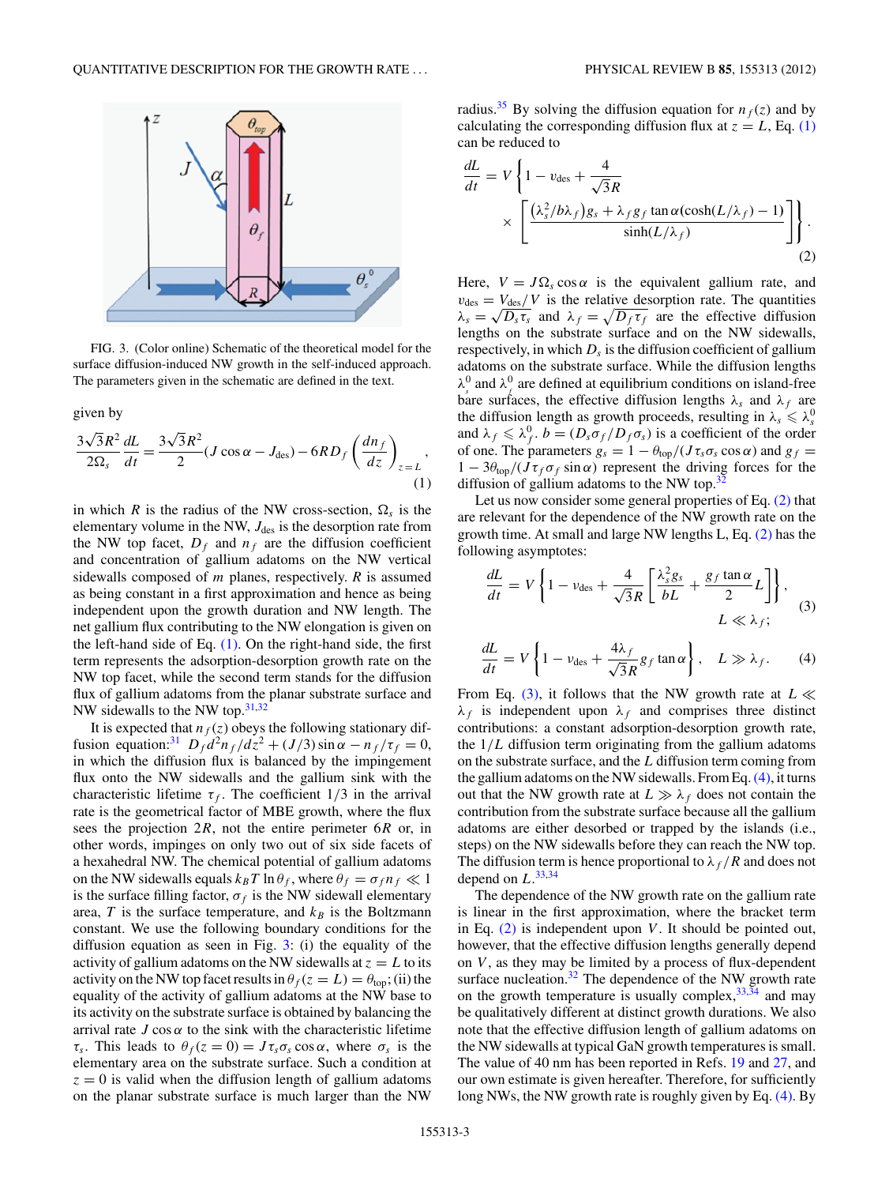<span id="page-2-0"></span>

FIG. 3. (Color online) Schematic of the theoretical model for the surface diffusion-induced NW growth in the self-induced approach. The parameters given in the schematic are defined in the text.

given by

$$
\frac{3\sqrt{3}R^2}{2\Omega_s}\frac{dL}{dt} = \frac{3\sqrt{3}R^2}{2}(J\cos\alpha - J_{\text{des}}) - 6RD_f \left(\frac{dn_f}{dz}\right)_{z=L},
$$
\n(1)

in which *R* is the radius of the NW cross-section,  $\Omega_s$  is the elementary volume in the NW,  $J_{des}$  is the desorption rate from the NW top facet,  $D_f$  and  $n_f$  are the diffusion coefficient and concentration of gallium adatoms on the NW vertical sidewalls composed of *m* planes, respectively. *R* is assumed as being constant in a first approximation and hence as being independent upon the growth duration and NW length. The net gallium flux contributing to the NW elongation is given on the left-hand side of Eq. (1). On the right-hand side, the first term represents the adsorption-desorption growth rate on the NW top facet, while the second term stands for the diffusion flux of gallium adatoms from the planar substrate surface and NW sidewalls to the NW top.[31,32](#page-6-0)

It is expected that  $n_f(z)$  obeys the following stationary dif-fusion equation:<sup>[31](#page-6-0)</sup></sup>  $D_f d^2n_f/dz^2 + (J/3) \sin \alpha - n_f/\tau_f = 0$ , in which the diffusion flux is balanced by the impingement flux onto the NW sidewalls and the gallium sink with the characteristic lifetime  $\tau_f$ . The coefficient  $1/3$  in the arrival rate is the geometrical factor of MBE growth, where the flux sees the projection 2*R*, not the entire perimeter 6*R* or, in other words, impinges on only two out of six side facets of a hexahedral NW. The chemical potential of gallium adatoms on the NW sidewalls equals  $k_B T \ln \theta_f$ , where  $\theta_f = \sigma_f n_f \ll 1$ is the surface filling factor,  $\sigma_f$  is the NW sidewall elementary area,  $T$  is the surface temperature, and  $k_B$  is the Boltzmann constant. We use the following boundary conditions for the diffusion equation as seen in Fig. 3: (i) the equality of the activity of gallium adatoms on the NW sidewalls at  $z = L$  to its activity on the NW top facet results in  $\theta_f(z = L) = \theta_{top}$ ; (ii) the equality of the activity of gallium adatoms at the NW base to its activity on the substrate surface is obtained by balancing the arrival rate  $J \cos \alpha$  to the sink with the characteristic lifetime *τ<sub>s</sub>*. This leads to  $θ_f(z = 0) = Jτ_s σ_s \cos α$ , where  $σ_s$  is the elementary area on the substrate surface. Such a condition at  $z = 0$  is valid when the diffusion length of gallium adatoms on the planar substrate surface is much larger than the NW radius.<sup>[35](#page-6-0)</sup> By solving the diffusion equation for  $n_f(z)$  and by calculating the corresponding diffusion flux at  $z = L$ , Eq. (1) can be reduced to

$$
\frac{dL}{dt} = V \left\{ 1 - v_{\text{des}} + \frac{4}{\sqrt{3}R} \times \left[ \frac{(\lambda_s^2/b\lambda_f)g_s + \lambda_f g_f \tan \alpha (\cosh(L/\lambda_f) - 1)}{\sinh(L/\lambda_f)} \right] \right\}.
$$
\n(2)

Here,  $V = J\Omega_s \cos \alpha$  is the equivalent gallium rate, and  $v_{des} = V_{des}/V$  is the relative desorption rate. The quantities  $\lambda_s = \sqrt{D_s \tau_s}$  and  $\lambda_f = \sqrt{D_f \tau_f}$  are the effective diffusion lengths on the substrate surface and on the NW sidewalls, respectively, in which  $D_s$  is the diffusion coefficient of gallium adatoms on the substrate surface. While the diffusion lengths  $\lambda_s^0$  and  $\lambda_f^0$  are defined at equilibrium conditions on island-free bare surfaces, the effective diffusion lengths  $\lambda_s$  and  $\lambda_f$  are the diffusion length as growth proceeds, resulting in  $\lambda_s \leq \lambda_s^0$ and  $\lambda_f \leq \lambda_f^0$ .  $b = (D_s \sigma_f / D_f \sigma_s)$  is a coefficient of the order of one. The parameters  $g_s = 1 - \theta_{top}/(J\tau_s\sigma_s\cos\alpha)$  and  $g_f =$  $1 - 3\theta_{top}/(J\tau_f\sigma_f \sin\alpha)$  represent the driving forces for the diffusion of gallium adatoms to the NW top. $32$ 

Let us now consider some general properties of Eq. (2) that are relevant for the dependence of the NW growth rate on the growth time. At small and large NW lengths L, Eq. (2) has the following asymptotes:

$$
\frac{dL}{dt} = V \left\{ 1 - \nu_{\text{des}} + \frac{4}{\sqrt{3}R} \left[ \frac{\lambda_s^2 g_s}{bL} + \frac{g_f \tan \alpha}{2} L \right] \right\},
$$
\n
$$
L \ll \lambda_f;
$$
\n(3)

$$
\frac{dL}{dt} = V \left\{ 1 - v_{\text{des}} + \frac{4\lambda_f}{\sqrt{3}R} g_f \tan \alpha \right\}, \quad L \gg \lambda_f. \tag{4}
$$

From Eq. (3), it follows that the NW growth rate at  $L \ll$  $\lambda_f$  is independent upon  $\lambda_f$  and comprises three distinct contributions: a constant adsorption-desorption growth rate, the 1*/L* diffusion term originating from the gallium adatoms on the substrate surface, and the *L* diffusion term coming from the gallium adatoms on the NW sidewalls. From Eq.  $(4)$ , it turns out that the NW growth rate at  $L \gg \lambda_f$  does not contain the contribution from the substrate surface because all the gallium adatoms are either desorbed or trapped by the islands (i.e., steps) on the NW sidewalls before they can reach the NW top. The diffusion term is hence proportional to  $\lambda_f/R$  and does not depend on *L*. [33,34](#page-6-0)

The dependence of the NW growth rate on the gallium rate is linear in the first approximation, where the bracket term in Eq. (2) is independent upon *V*. It should be pointed out, however, that the effective diffusion lengths generally depend on *V* , as they may be limited by a process of flux-dependent surface nucleation. $32$  The dependence of the NW growth rate on the growth temperature is usually complex,  $33,34$  and may be qualitatively different at distinct growth durations. We also note that the effective diffusion length of gallium adatoms on the NW sidewalls at typical GaN growth temperatures is small. The value of 40 nm has been reported in Refs. [19](#page-6-0) and [27,](#page-6-0) and our own estimate is given hereafter. Therefore, for sufficiently long NWs, the NW growth rate is roughly given by Eq. (4). By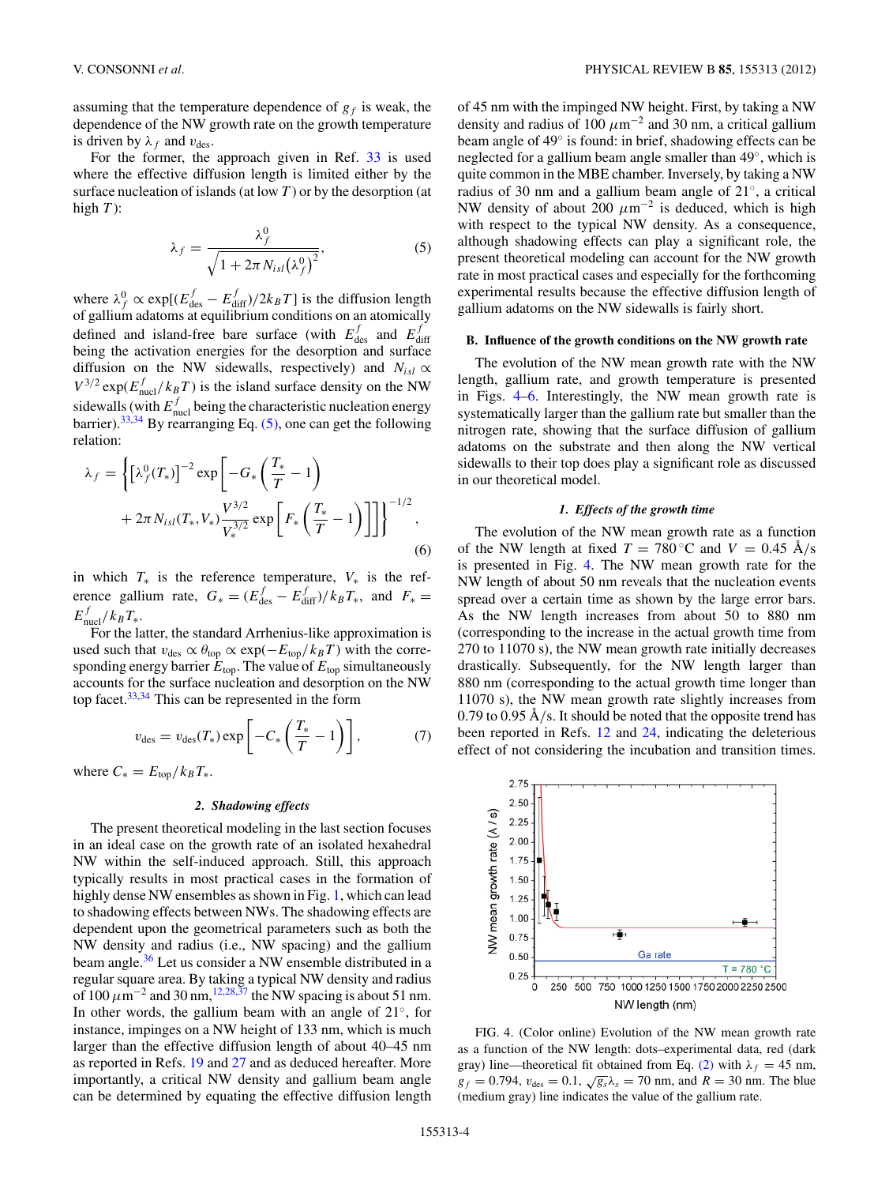<span id="page-3-0"></span>assuming that the temperature dependence of  $g_f$  is weak, the dependence of the NW growth rate on the growth temperature is driven by  $\lambda_f$  and  $v_{des}$ .

For the former, the approach given in Ref. [33](#page-6-0) is used where the effective diffusion length is limited either by the surface nucleation of islands (at low *T* ) or by the desorption (at high  $T$ :

$$
\lambda_f = \frac{\lambda_f^0}{\sqrt{1 + 2\pi N_{isl}(\lambda_f^0)^2}},\tag{5}
$$

where  $\lambda_f^0 \propto \exp[(E_{\text{des}}^f - E_{\text{diff}}^f)/2k_BT]$  is the diffusion length of gallium adatoms at equilibrium conditions on an atomically defined and island-free bare surface (with  $E_{\text{des}}^f$  and  $E_{\text{diff}}^f$ being the activation energies for the desorption and surface diffusion on the NW sidewalls, respectively) and  $N_{isl} \propto$  $V^{3/2}$  exp( $E_{\text{nucl}}^f/k_BT$ ) is the island surface density on the NW sidewalls (with  $E_{\text{nucl}}^f$  being the characteristic nucleation energy barrier).<sup>33,34</sup> By rearranging Eq.  $(5)$ , one can get the following relation:

$$
\lambda_f = \left\{ \left[ \lambda_f^0(T_*) \right]^{-2} \exp \left[ -G_* \left( \frac{T_*}{T} - 1 \right) + 2\pi N_{isl}(T_*, V_*) \frac{V^{3/2}}{V_*^{3/2}} \exp \left[ F_* \left( \frac{T_*}{T} - 1 \right) \right] \right] \right\}^{-1/2},
$$
\n(6)

in which  $T_*$  is the reference temperature,  $V_*$  is the reference gallium rate,  $G_* = (E_{\text{des}}^f - E_{\text{diff}}^f)/k_B T_*$ , and  $F_* =$  $E_{\text{nucl}}^f/k_B T_*$ .

For the latter, the standard Arrhenius-like approximation is used such that  $v_{des} \propto \theta_{top} \propto \exp(-E_{top}/k_B T)$  with the corresponding energy barrier  $E_{\text{top}}$ . The value of  $E_{\text{top}}$  simultaneously accounts for the surface nucleation and desorption on the NW top facet.[33,34](#page-6-0) This can be represented in the form

$$
v_{\text{des}} = v_{\text{des}}(T_*) \exp\left[-C_*\left(\frac{T_*}{T}-1\right)\right],\tag{7}
$$

where  $C_* = E_{top}/k_B T_*$ .

## *2. Shadowing effects*

The present theoretical modeling in the last section focuses in an ideal case on the growth rate of an isolated hexahedral NW within the self-induced approach. Still, this approach typically results in most practical cases in the formation of highly dense NW ensembles as shown in Fig. [1,](#page-1-0) which can lead to shadowing effects between NWs. The shadowing effects are dependent upon the geometrical parameters such as both the NW density and radius (i.e., NW spacing) and the gallium beam angle.<sup>36</sup> Let us consider a NW ensemble distributed in a regular square area. By taking a typical NW density and radius of  $100 \mu m^{-2}$  and  $30 \text{ nm}$ ,<sup>[12,28,37](#page-6-0)</sup> the NW spacing is about 51 nm. In other words, the gallium beam with an angle of 21◦, for instance, impinges on a NW height of 133 nm, which is much larger than the effective diffusion length of about 40–45 nm as reported in Refs. [19](#page-6-0) and [27](#page-6-0) and as deduced hereafter. More importantly, a critical NW density and gallium beam angle can be determined by equating the effective diffusion length of 45 nm with the impinged NW height. First, by taking a NW density and radius of 100  $\mu$ m<sup>-2</sup> and 30 nm, a critical gallium beam angle of 49◦ is found: in brief, shadowing effects can be neglected for a gallium beam angle smaller than 49◦, which is quite common in the MBE chamber. Inversely, by taking a NW radius of 30 nm and a gallium beam angle of 21◦, a critical NW density of about 200  $\mu$ m<sup>-2</sup> is deduced, which is high with respect to the typical NW density. As a consequence, although shadowing effects can play a significant role, the present theoretical modeling can account for the NW growth rate in most practical cases and especially for the forthcoming experimental results because the effective diffusion length of gallium adatoms on the NW sidewalls is fairly short.

#### **B. Influence of the growth conditions on the NW growth rate**

The evolution of the NW mean growth rate with the NW length, gallium rate, and growth temperature is presented in Figs. 4[–6.](#page-5-0) Interestingly, the NW mean growth rate is systematically larger than the gallium rate but smaller than the nitrogen rate, showing that the surface diffusion of gallium adatoms on the substrate and then along the NW vertical sidewalls to their top does play a significant role as discussed in our theoretical model.

### *1. Effects of the growth time*

The evolution of the NW mean growth rate as a function of the NW length at fixed  $T = 780$ °C and  $V = 0.45$  Å/s is presented in Fig. 4. The NW mean growth rate for the NW length of about 50 nm reveals that the nucleation events spread over a certain time as shown by the large error bars. As the NW length increases from about 50 to 880 nm (corresponding to the increase in the actual growth time from 270 to 11070 s), the NW mean growth rate initially decreases drastically. Subsequently, for the NW length larger than 880 nm (corresponding to the actual growth time longer than 11070 s), the NW mean growth rate slightly increases from 0.79 to 0.95  $\rm \AA/s$ . It should be noted that the opposite trend has been reported in Refs. [12](#page-6-0) and [24,](#page-6-0) indicating the deleterious effect of not considering the incubation and transition times.



FIG. 4. (Color online) Evolution of the NW mean growth rate as a function of the NW length: dots–experimental data, red (dark gray) line—theoretical fit obtained from Eq. [\(2\)](#page-2-0) with  $\lambda_f = 45$  nm,  $g_f = 0.794$ ,  $v_{des} = 0.1$ ,  $\sqrt{g_s} \lambda_s = 70$  nm, and  $R = 30$  nm. The blue (medium gray) line indicates the value of the gallium rate.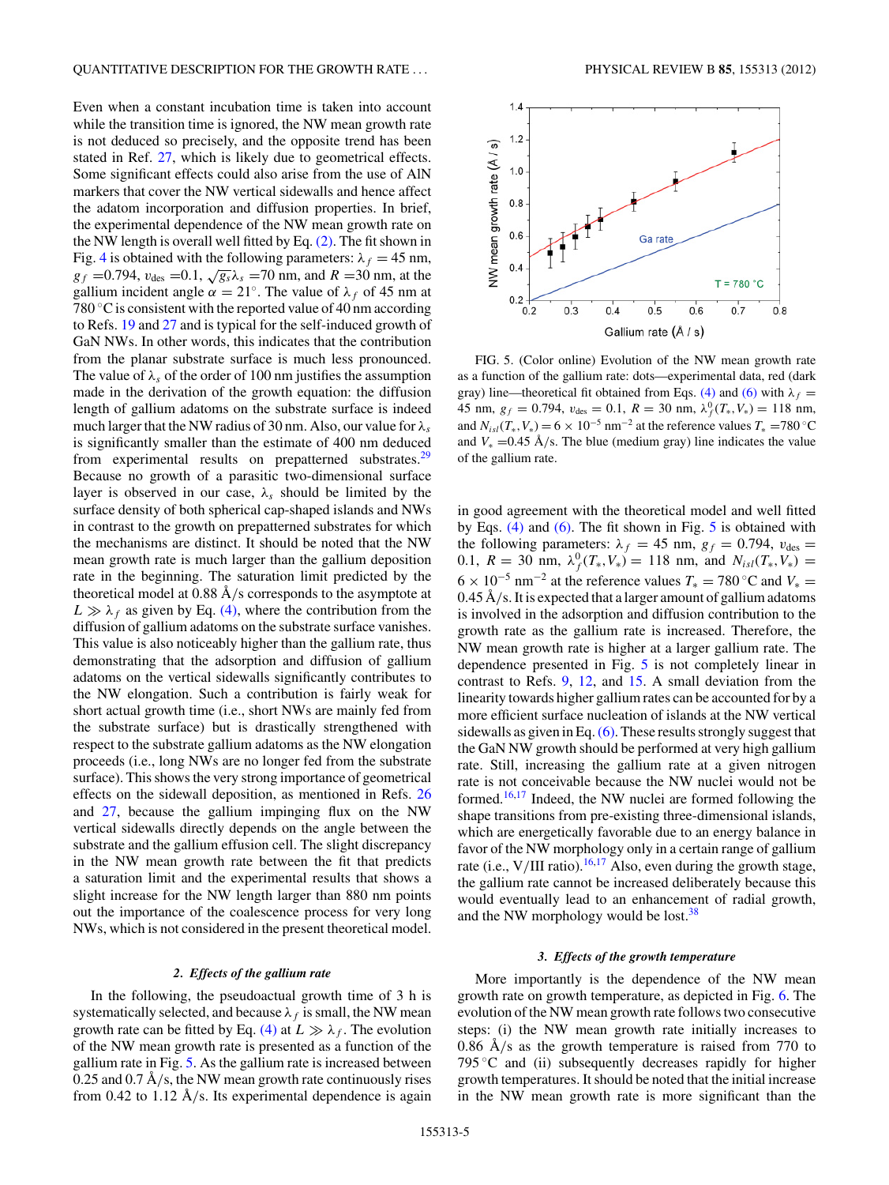Even when a constant incubation time is taken into account while the transition time is ignored, the NW mean growth rate is not deduced so precisely, and the opposite trend has been stated in Ref. [27,](#page-6-0) which is likely due to geometrical effects. Some significant effects could also arise from the use of AlN markers that cover the NW vertical sidewalls and hence affect the adatom incorporation and diffusion properties. In brief, the experimental dependence of the NW mean growth rate on the NW length is overall well fitted by Eq. [\(2\).](#page-2-0) The fit shown in Fig. [4](#page-3-0) is obtained with the following parameters:  $\lambda_f = 45$  nm,  $g_f$  =0.794,  $v_{des}$  =0.1,  $\sqrt{g_s} \lambda_s$  =70 nm, and *R* =30 nm, at the gallium incident angle  $\alpha = 21^\circ$ . The value of  $\lambda_f$  of 45 nm at 780  $\degree$ C is consistent with the reported value of 40 nm according to Refs. [19](#page-6-0) and [27](#page-6-0) and is typical for the self-induced growth of GaN NWs. In other words, this indicates that the contribution from the planar substrate surface is much less pronounced. The value of  $\lambda_s$  of the order of 100 nm justifies the assumption made in the derivation of the growth equation: the diffusion length of gallium adatoms on the substrate surface is indeed much larger that the NW radius of 30 nm. Also, our value for *λs* is significantly smaller than the estimate of 400 nm deduced from experimental results on prepatterned substrates.<sup>[29](#page-6-0)</sup> Because no growth of a parasitic two-dimensional surface layer is observed in our case,  $\lambda_s$  should be limited by the surface density of both spherical cap-shaped islands and NWs in contrast to the growth on prepatterned substrates for which the mechanisms are distinct. It should be noted that the NW mean growth rate is much larger than the gallium deposition rate in the beginning. The saturation limit predicted by the theoretical model at 0.88 Å/s corresponds to the asymptote at  $L \gg \lambda_f$  as given by Eq. [\(4\),](#page-2-0) where the contribution from the diffusion of gallium adatoms on the substrate surface vanishes. This value is also noticeably higher than the gallium rate, thus demonstrating that the adsorption and diffusion of gallium adatoms on the vertical sidewalls significantly contributes to the NW elongation. Such a contribution is fairly weak for short actual growth time (i.e., short NWs are mainly fed from the substrate surface) but is drastically strengthened with respect to the substrate gallium adatoms as the NW elongation proceeds (i.e., long NWs are no longer fed from the substrate surface). This shows the very strong importance of geometrical effects on the sidewall deposition, as mentioned in Refs. [26](#page-6-0) and [27,](#page-6-0) because the gallium impinging flux on the NW vertical sidewalls directly depends on the angle between the substrate and the gallium effusion cell. The slight discrepancy in the NW mean growth rate between the fit that predicts a saturation limit and the experimental results that shows a slight increase for the NW length larger than 880 nm points out the importance of the coalescence process for very long NWs, which is not considered in the present theoretical model.

#### *2. Effects of the gallium rate*

In the following, the pseudoactual growth time of 3 h is systematically selected, and because  $\lambda_f$  is small, the NW mean growth rate can be fitted by Eq. [\(4\)](#page-2-0) at  $L \gg \lambda_f$ . The evolution of the NW mean growth rate is presented as a function of the gallium rate in Fig. 5. As the gallium rate is increased between 0.25 and  $0.7 \text{ Å/s}$ , the NW mean growth rate continuously rises from 0.42 to 1.12  $\AA$ /s. Its experimental dependence is again



FIG. 5. (Color online) Evolution of the NW mean growth rate as a function of the gallium rate: dots—experimental data, red (dark gray) line—theoretical fit obtained from Eqs. [\(4\)](#page-2-0) and [\(6\)](#page-3-0) with  $\lambda_f$  = 45 nm,  $g_f = 0.794$ ,  $v_{des} = 0.1$ ,  $R = 30$  nm,  $\lambda_f^0(T_*, V_*) = 118$  nm, and  $N_{is}(T_*, V_*) = 6 \times 10^{-5}$  nm<sup>-2</sup> at the reference values  $T_* = 780$  °C and  $V_* = 0.45 \text{ Å/s}$ . The blue (medium gray) line indicates the value of the gallium rate.

in good agreement with the theoretical model and well fitted by Eqs. [\(4\)](#page-2-0) and [\(6\).](#page-3-0) The fit shown in Fig. 5 is obtained with the following parameters:  $\lambda_f = 45$  nm,  $g_f = 0.794$ ,  $v_{des} =$ 0.1,  $R = 30$  nm,  $\lambda_f^0(T_*, V_*) = 118$  nm, and  $N_{is}(T_*, V_*) =$  $6 \times 10^{-5}$  nm<sup>-2</sup> at the reference values  $T_* = 780$  °C and  $V_* =$ 0.45 Å/s. It is expected that a larger amount of gallium adatoms is involved in the adsorption and diffusion contribution to the growth rate as the gallium rate is increased. Therefore, the NW mean growth rate is higher at a larger gallium rate. The dependence presented in Fig. 5 is not completely linear in contrast to Refs. [9,](#page-6-0) [12,](#page-6-0) and [15.](#page-6-0) A small deviation from the linearity towards higher gallium rates can be accounted for by a more efficient surface nucleation of islands at the NW vertical sidewalls as given in Eq.[\(6\).](#page-3-0) These results strongly suggest that the GaN NW growth should be performed at very high gallium rate. Still, increasing the gallium rate at a given nitrogen rate is not conceivable because the NW nuclei would not be formed.[16,17](#page-6-0) Indeed, the NW nuclei are formed following the shape transitions from pre-existing three-dimensional islands, which are energetically favorable due to an energy balance in favor of the NW morphology only in a certain range of gallium rate (i.e.,  $V/III$  ratio).<sup>16,17</sup> Also, even during the growth stage, the gallium rate cannot be increased deliberately because this would eventually lead to an enhancement of radial growth, and the NW morphology would be lost.<sup>[38](#page-6-0)</sup>

## *3. Effects of the growth temperature*

More importantly is the dependence of the NW mean growth rate on growth temperature, as depicted in Fig. [6.](#page-5-0) The evolution of the NW mean growth rate follows two consecutive steps: (i) the NW mean growth rate initially increases to 0.86  $\AA$ /s as the growth temperature is raised from 770 to 795  $\degree$ C and (ii) subsequently decreases rapidly for higher growth temperatures. It should be noted that the initial increase in the NW mean growth rate is more significant than the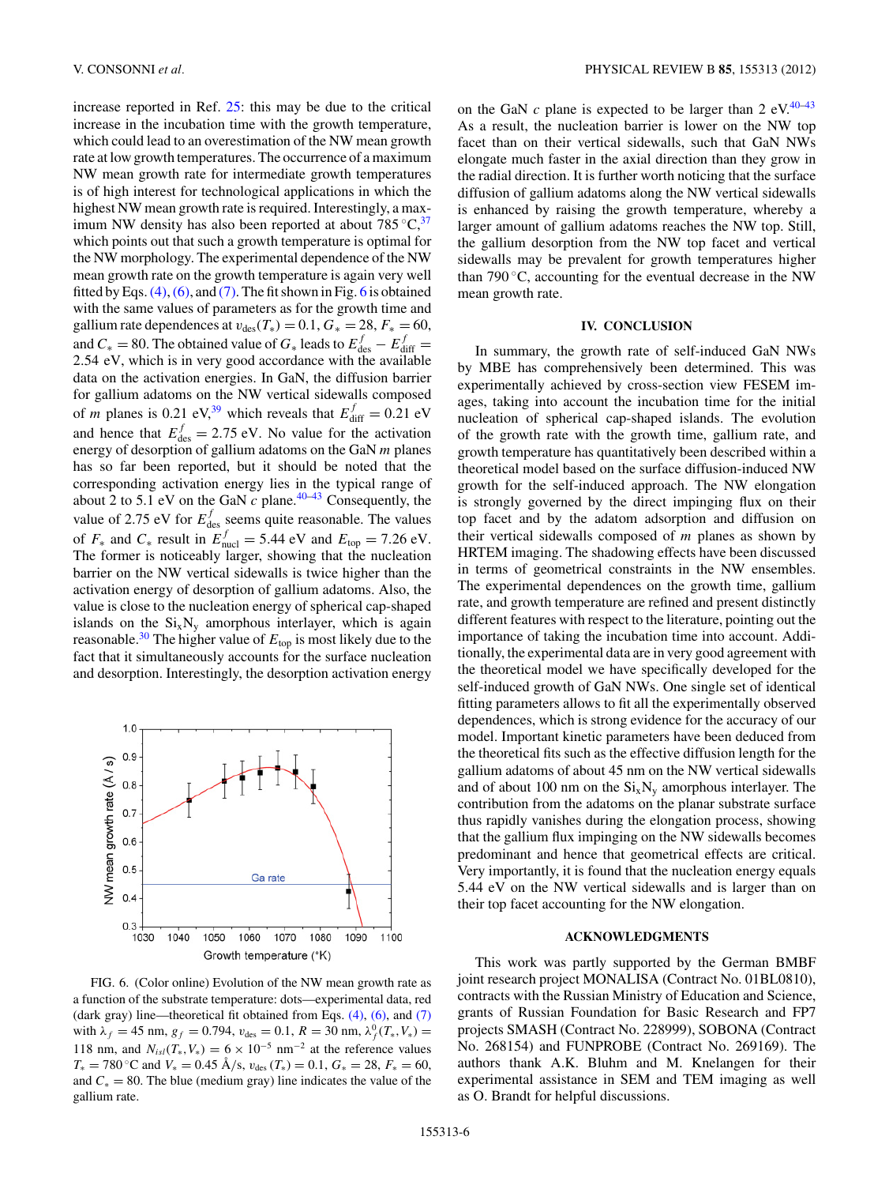<span id="page-5-0"></span>increase reported in Ref. [25:](#page-6-0) this may be due to the critical increase in the incubation time with the growth temperature, which could lead to an overestimation of the NW mean growth rate at low growth temperatures. The occurrence of a maximum NW mean growth rate for intermediate growth temperatures is of high interest for technological applications in which the highest NW mean growth rate is required. Interestingly, a maximum NW density has also been reported at about  $785^{\circ}C<sub>1</sub><sup>37</sup>$  $785^{\circ}C<sub>1</sub><sup>37</sup>$  $785^{\circ}C<sub>1</sub><sup>37</sup>$ which points out that such a growth temperature is optimal for the NW morphology. The experimental dependence of the NW mean growth rate on the growth temperature is again very well fitted by Eqs.  $(4)$ ,  $(6)$ , and  $(7)$ . The fit shown in Fig. 6 is obtained with the same values of parameters as for the growth time and gallium rate dependences at  $v_{des}(T_*) = 0.1, G_* = 28, F_* = 60,$ and  $C_* = 80$ . The obtained value of  $G_*$  leads to  $E_{\text{des}}^f - E_{\text{diff}}^f =$ 2*.*54 eV, which is in very good accordance with the available data on the activation energies. In GaN, the diffusion barrier for gallium adatoms on the NW vertical sidewalls composed of *m* planes is 0.21 eV,<sup>39</sup> which reveals that  $E_{\text{diff}}^f = 0.21 \text{ eV}$ and hence that  $E_{\text{des}}^f = 2.75 \text{ eV}$ . No value for the activation energy of desorption of gallium adatoms on the GaN *m* planes has so far been reported, but it should be noted that the corresponding activation energy lies in the typical range of about 2 to 5.1 eV on the GaN  $c$  plane.<sup>[40–43](#page-6-0)</sup> Consequently, the value of 2.75 eV for  $E_{\text{des}}^f$  seems quite reasonable. The values of  $F_*$  and  $C_*$  result in  $E_{\text{nucl}}^f = 5.44 \text{ eV}$  and  $E_{\text{top}} = 7.26 \text{ eV}$ . The former is noticeably larger, showing that the nucleation barrier on the NW vertical sidewalls is twice higher than the activation energy of desorption of gallium adatoms. Also, the value is close to the nucleation energy of spherical cap-shaped islands on the  $Si_xN_y$  amorphous interlayer, which is again reasonable.<sup>[30](#page-6-0)</sup> The higher value of  $E_{\text{top}}$  is most likely due to the fact that it simultaneously accounts for the surface nucleation and desorption. Interestingly, the desorption activation energy



FIG. 6. (Color online) Evolution of the NW mean growth rate as a function of the substrate temperature: dots—experimental data, red (dark gray) line—theoretical fit obtained from Eqs.  $(4)$ ,  $(6)$ , and  $(7)$ with  $\lambda_f = 45$  nm,  $g_f = 0.794$ ,  $v_{des} = 0.1$ ,  $R = 30$  nm,  $\lambda_f^0(T_*, V_*) =$ 118 nm, and  $N_{isl}(T_*, V_*) = 6 \times 10^{-5}$  nm<sup>-2</sup> at the reference values *T*<sub>∗</sub> = 780 °C and *V*<sub>∗</sub> = 0.45 Å/s,  $v_{des}$  (*T*<sub>∗</sub>) = 0.1, *G*<sub>∗</sub> = 28, *F*<sub>∗</sub> = 60, and  $C_* = 80$ . The blue (medium gray) line indicates the value of the gallium rate.

on the GaN  $c$  plane is expected to be larger than 2 eV.<sup>40–43</sup> As a result, the nucleation barrier is lower on the NW top facet than on their vertical sidewalls, such that GaN NWs elongate much faster in the axial direction than they grow in the radial direction. It is further worth noticing that the surface diffusion of gallium adatoms along the NW vertical sidewalls is enhanced by raising the growth temperature, whereby a larger amount of gallium adatoms reaches the NW top. Still, the gallium desorption from the NW top facet and vertical sidewalls may be prevalent for growth temperatures higher than 790 $\degree$ C, accounting for the eventual decrease in the NW mean growth rate.

## **IV. CONCLUSION**

In summary, the growth rate of self-induced GaN NWs by MBE has comprehensively been determined. This was experimentally achieved by cross-section view FESEM images, taking into account the incubation time for the initial nucleation of spherical cap-shaped islands. The evolution of the growth rate with the growth time, gallium rate, and growth temperature has quantitatively been described within a theoretical model based on the surface diffusion-induced NW growth for the self-induced approach. The NW elongation is strongly governed by the direct impinging flux on their top facet and by the adatom adsorption and diffusion on their vertical sidewalls composed of *m* planes as shown by HRTEM imaging. The shadowing effects have been discussed in terms of geometrical constraints in the NW ensembles. The experimental dependences on the growth time, gallium rate, and growth temperature are refined and present distinctly different features with respect to the literature, pointing out the importance of taking the incubation time into account. Additionally, the experimental data are in very good agreement with the theoretical model we have specifically developed for the self-induced growth of GaN NWs. One single set of identical fitting parameters allows to fit all the experimentally observed dependences, which is strong evidence for the accuracy of our model. Important kinetic parameters have been deduced from the theoretical fits such as the effective diffusion length for the gallium adatoms of about 45 nm on the NW vertical sidewalls and of about 100 nm on the  $Si_xN_y$  amorphous interlayer. The contribution from the adatoms on the planar substrate surface thus rapidly vanishes during the elongation process, showing that the gallium flux impinging on the NW sidewalls becomes predominant and hence that geometrical effects are critical. Very importantly, it is found that the nucleation energy equals 5.44 eV on the NW vertical sidewalls and is larger than on their top facet accounting for the NW elongation.

## **ACKNOWLEDGMENTS**

This work was partly supported by the German BMBF joint research project MONALISA (Contract No. 01BL0810), contracts with the Russian Ministry of Education and Science, grants of Russian Foundation for Basic Research and FP7 projects SMASH (Contract No. 228999), SOBONA (Contract No. 268154) and FUNPROBE (Contract No. 269169). The authors thank A.K. Bluhm and M. Knelangen for their experimental assistance in SEM and TEM imaging as well as O. Brandt for helpful discussions.